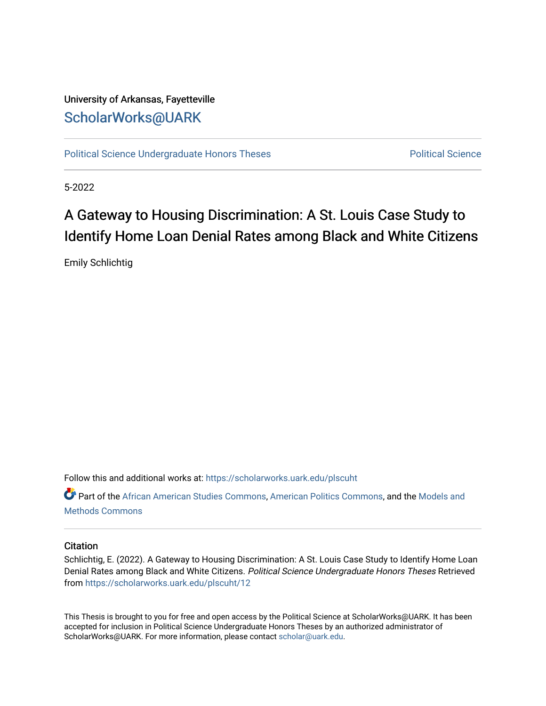## University of Arkansas, Fayetteville [ScholarWorks@UARK](https://scholarworks.uark.edu/)

[Political Science Undergraduate Honors Theses](https://scholarworks.uark.edu/plscuht) **Political Science** Political Science

5-2022

# A Gateway to Housing Discrimination: A St. Louis Case Study to Identify Home Loan Denial Rates among Black and White Citizens

Emily Schlichtig

Follow this and additional works at: [https://scholarworks.uark.edu/plscuht](https://scholarworks.uark.edu/plscuht?utm_source=scholarworks.uark.edu%2Fplscuht%2F12&utm_medium=PDF&utm_campaign=PDFCoverPages) 

Part of the [African American Studies Commons,](http://network.bepress.com/hgg/discipline/567?utm_source=scholarworks.uark.edu%2Fplscuht%2F12&utm_medium=PDF&utm_campaign=PDFCoverPages) [American Politics Commons,](http://network.bepress.com/hgg/discipline/387?utm_source=scholarworks.uark.edu%2Fplscuht%2F12&utm_medium=PDF&utm_campaign=PDFCoverPages) and the [Models and](http://network.bepress.com/hgg/discipline/390?utm_source=scholarworks.uark.edu%2Fplscuht%2F12&utm_medium=PDF&utm_campaign=PDFCoverPages)  [Methods Commons](http://network.bepress.com/hgg/discipline/390?utm_source=scholarworks.uark.edu%2Fplscuht%2F12&utm_medium=PDF&utm_campaign=PDFCoverPages) 

#### **Citation**

Schlichtig, E. (2022). A Gateway to Housing Discrimination: A St. Louis Case Study to Identify Home Loan Denial Rates among Black and White Citizens. Political Science Undergraduate Honors Theses Retrieved from [https://scholarworks.uark.edu/plscuht/12](https://scholarworks.uark.edu/plscuht/12?utm_source=scholarworks.uark.edu%2Fplscuht%2F12&utm_medium=PDF&utm_campaign=PDFCoverPages)

This Thesis is brought to you for free and open access by the Political Science at ScholarWorks@UARK. It has been accepted for inclusion in Political Science Undergraduate Honors Theses by an authorized administrator of ScholarWorks@UARK. For more information, please contact [scholar@uark.edu](mailto:scholar@uark.edu).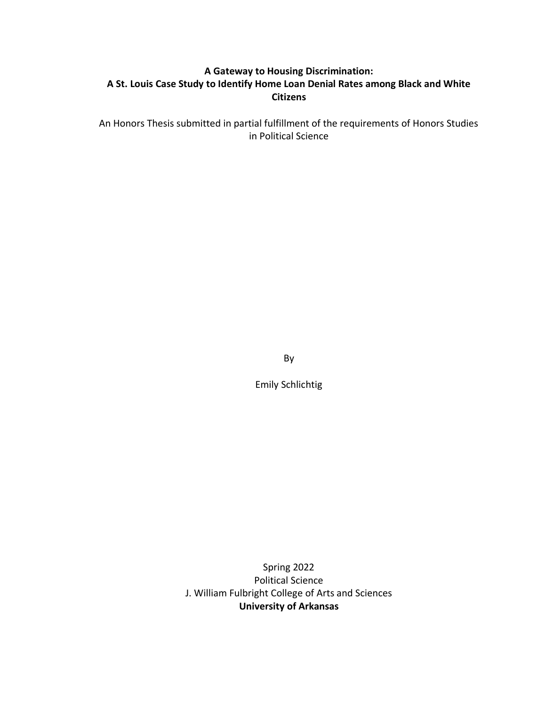## **A Gateway to Housing Discrimination: A St. Louis Case Study to Identify Home Loan Denial Rates among Black and White Citizens**

An Honors Thesis submitted in partial fulfillment of the requirements of Honors Studies in Political Science

By

Emily Schlichtig

Spring 2022 Political Science J. William Fulbright College of Arts and Sciences **University of Arkansas**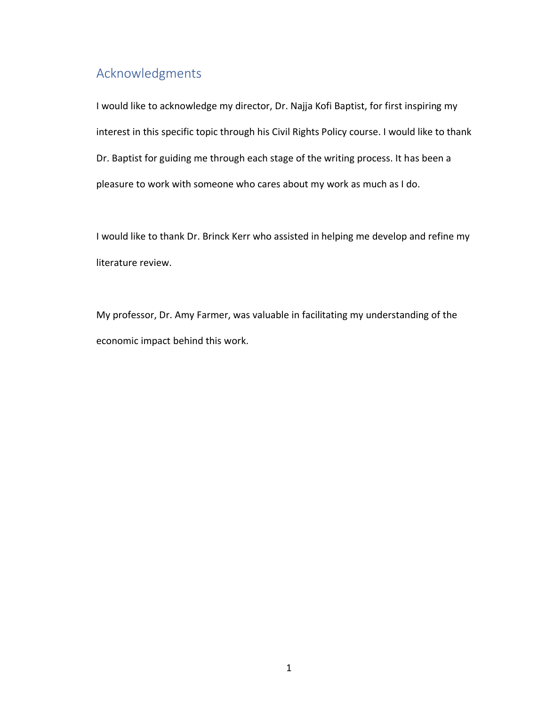## Acknowledgments

I would like to acknowledge my director, Dr. Najja Kofi Baptist, for first inspiring my interest in this specific topic through his Civil Rights Policy course. I would like to thank Dr. Baptist for guiding me through each stage of the writing process. It has been a pleasure to work with someone who cares about my work as much as I do.

I would like to thank Dr. Brinck Kerr who assisted in helping me develop and refine my literature review.

My professor, Dr. Amy Farmer, was valuable in facilitating my understanding of the economic impact behind this work.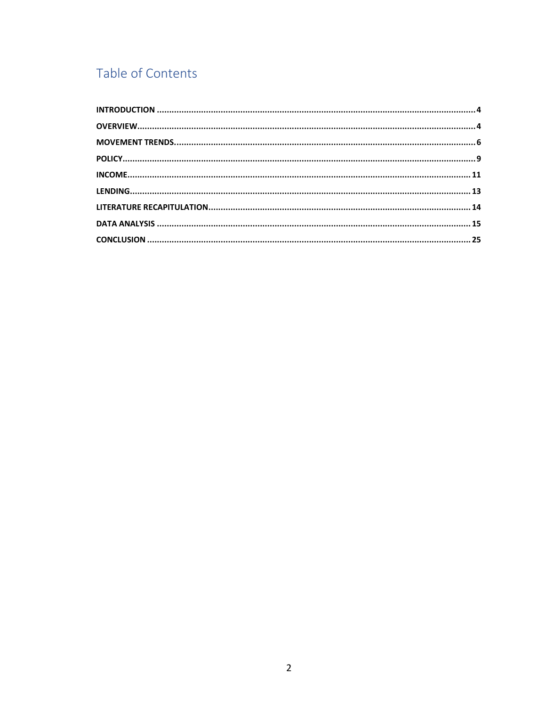## Table of Contents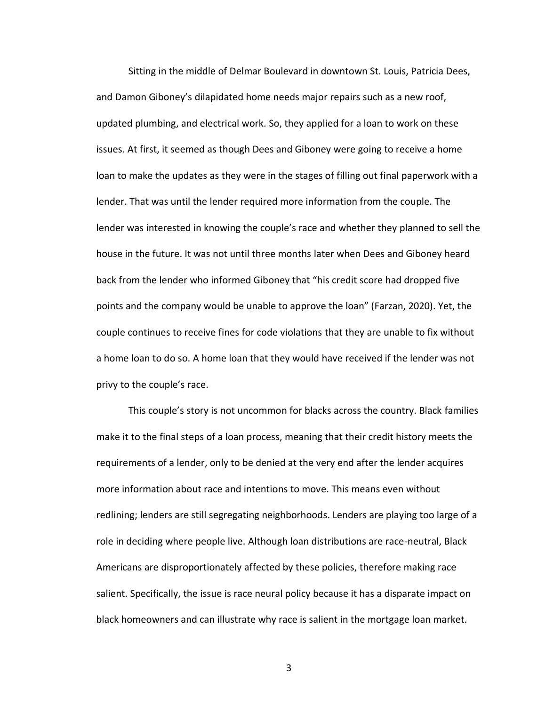Sitting in the middle of Delmar Boulevard in downtown St. Louis, Patricia Dees, and Damon Giboney's dilapidated home needs major repairs such as a new roof, updated plumbing, and electrical work. So, they applied for a loan to work on these issues. At first, it seemed as though Dees and Giboney were going to receive a home loan to make the updates as they were in the stages of filling out final paperwork with a lender. That was until the lender required more information from the couple. The lender was interested in knowing the couple's race and whether they planned to sell the house in the future. It was not until three months later when Dees and Giboney heard back from the lender who informed Giboney that "his credit score had dropped five points and the company would be unable to approve the loan" (Farzan, 2020). Yet, the couple continues to receive fines for code violations that they are unable to fix without a home loan to do so. A home loan that they would have received if the lender was not privy to the couple's race.

This couple's story is not uncommon for blacks across the country. Black families make it to the final steps of a loan process, meaning that their credit history meets the requirements of a lender, only to be denied at the very end after the lender acquires more information about race and intentions to move. This means even without redlining; lenders are still segregating neighborhoods. Lenders are playing too large of a role in deciding where people live. Although loan distributions are race-neutral, Black Americans are disproportionately affected by these policies, therefore making race salient. Specifically, the issue is race neural policy because it has a disparate impact on black homeowners and can illustrate why race is salient in the mortgage loan market.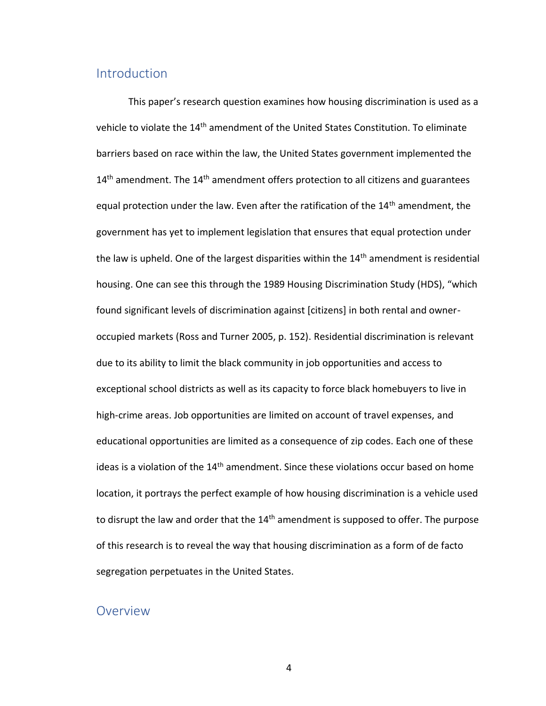## <span id="page-5-0"></span>Introduction

This paper's research question examines how housing discrimination is used as a vehicle to violate the 14<sup>th</sup> amendment of the United States Constitution. To eliminate barriers based on race within the law, the United States government implemented the  $14<sup>th</sup>$  amendment. The  $14<sup>th</sup>$  amendment offers protection to all citizens and guarantees equal protection under the law. Even after the ratification of the 14<sup>th</sup> amendment, the government has yet to implement legislation that ensures that equal protection under the law is upheld. One of the largest disparities within the  $14<sup>th</sup>$  amendment is residential housing. One can see this through the 1989 Housing Discrimination Study (HDS), "which found significant levels of discrimination against [citizens] in both rental and owneroccupied markets (Ross and Turner 2005, p. 152). Residential discrimination is relevant due to its ability to limit the black community in job opportunities and access to exceptional school districts as well as its capacity to force black homebuyers to live in high-crime areas. Job opportunities are limited on account of travel expenses, and educational opportunities are limited as a consequence of zip codes. Each one of these ideas is a violation of the  $14<sup>th</sup>$  amendment. Since these violations occur based on home location, it portrays the perfect example of how housing discrimination is a vehicle used to disrupt the law and order that the  $14<sup>th</sup>$  amendment is supposed to offer. The purpose of this research is to reveal the way that housing discrimination as a form of de facto segregation perpetuates in the United States.

#### <span id="page-5-1"></span>Overview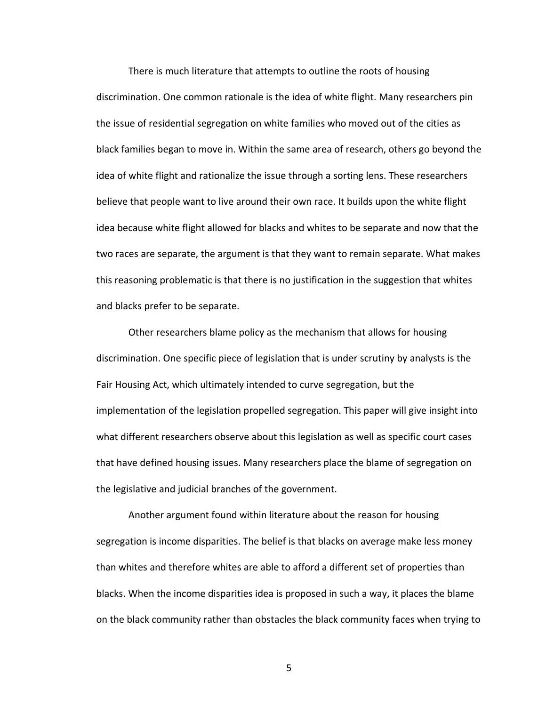There is much literature that attempts to outline the roots of housing discrimination. One common rationale is the idea of white flight. Many researchers pin the issue of residential segregation on white families who moved out of the cities as black families began to move in. Within the same area of research, others go beyond the idea of white flight and rationalize the issue through a sorting lens. These researchers believe that people want to live around their own race. It builds upon the white flight idea because white flight allowed for blacks and whites to be separate and now that the two races are separate, the argument is that they want to remain separate. What makes this reasoning problematic is that there is no justification in the suggestion that whites and blacks prefer to be separate.

Other researchers blame policy as the mechanism that allows for housing discrimination. One specific piece of legislation that is under scrutiny by analysts is the Fair Housing Act, which ultimately intended to curve segregation, but the implementation of the legislation propelled segregation. This paper will give insight into what different researchers observe about this legislation as well as specific court cases that have defined housing issues. Many researchers place the blame of segregation on the legislative and judicial branches of the government.

Another argument found within literature about the reason for housing segregation is income disparities. The belief is that blacks on average make less money than whites and therefore whites are able to afford a different set of properties than blacks. When the income disparities idea is proposed in such a way, it places the blame on the black community rather than obstacles the black community faces when trying to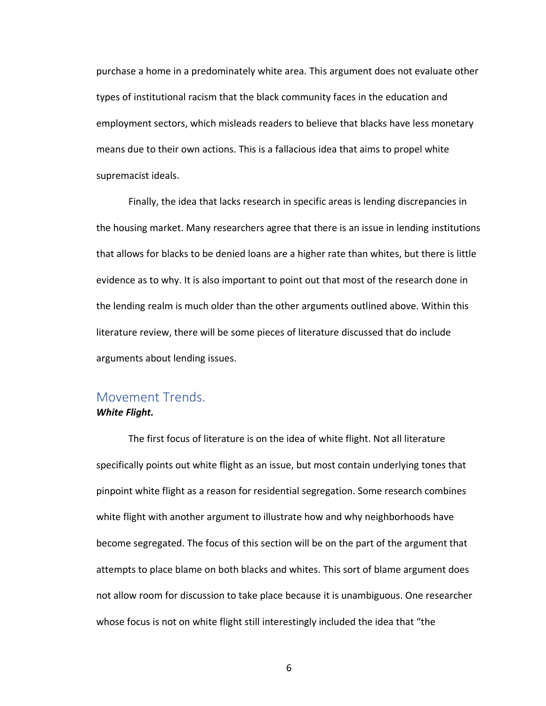purchase a home in a predominately white area. This argument does not evaluate other types of institutional racism that the black community faces in the education and employment sectors, which misleads readers to believe that blacks have less monetary means due to their own actions. This is a fallacious idea that aims to propel white supremacist ideals.

Finally, the idea that lacks research in specific areas is lending discrepancies in the housing market. Many researchers agree that there is an issue in lending institutions that allows for blacks to be denied loans are a higher rate than whites, but there is little evidence as to why. It is also important to point out that most of the research done in the lending realm is much older than the other arguments outlined above. Within this literature review, there will be some pieces of literature discussed that do include arguments about lending issues.

# <span id="page-7-0"></span>Movement Trends.

#### *White Flight.*

The first focus of literature is on the idea of white flight. Not all literature specifically points out white flight as an issue, but most contain underlying tones that pinpoint white flight as a reason for residential segregation. Some research combines white flight with another argument to illustrate how and why neighborhoods have become segregated. The focus of this section will be on the part of the argument that attempts to place blame on both blacks and whites. This sort of blame argument does not allow room for discussion to take place because it is unambiguous. One researcher whose focus is not on white flight still interestingly included the idea that "the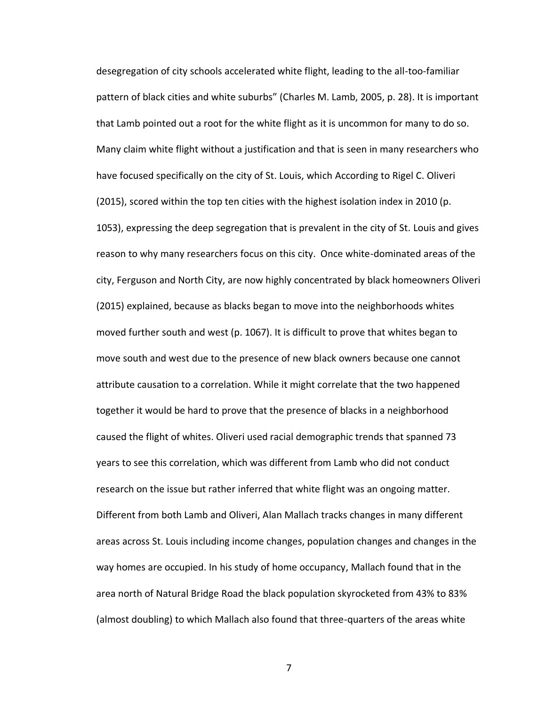desegregation of city schools accelerated white flight, leading to the all-too-familiar pattern of black cities and white suburbs" (Charles M. Lamb, 2005, p. 28). It is important that Lamb pointed out a root for the white flight as it is uncommon for many to do so. Many claim white flight without a justification and that is seen in many researchers who have focused specifically on the city of St. Louis, which According to Rigel C. Oliveri (2015), scored within the top ten cities with the highest isolation index in 2010 (p. 1053), expressing the deep segregation that is prevalent in the city of St. Louis and gives reason to why many researchers focus on this city. Once white-dominated areas of the city, Ferguson and North City, are now highly concentrated by black homeowners Oliveri (2015) explained, because as blacks began to move into the neighborhoods whites moved further south and west (p. 1067). It is difficult to prove that whites began to move south and west due to the presence of new black owners because one cannot attribute causation to a correlation. While it might correlate that the two happened together it would be hard to prove that the presence of blacks in a neighborhood caused the flight of whites. Oliveri used racial demographic trends that spanned 73 years to see this correlation, which was different from Lamb who did not conduct research on the issue but rather inferred that white flight was an ongoing matter. Different from both Lamb and Oliveri, Alan Mallach tracks changes in many different areas across St. Louis including income changes, population changes and changes in the way homes are occupied. In his study of home occupancy, Mallach found that in the area north of Natural Bridge Road the black population skyrocketed from 43% to 83% (almost doubling) to which Mallach also found that three-quarters of the areas white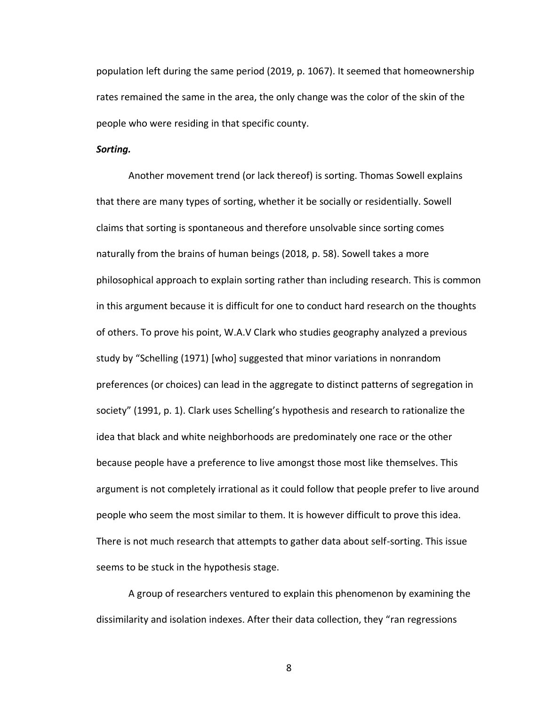population left during the same period (2019, p. 1067). It seemed that homeownership rates remained the same in the area, the only change was the color of the skin of the people who were residing in that specific county.

#### *Sorting.*

Another movement trend (or lack thereof) is sorting. Thomas Sowell explains that there are many types of sorting, whether it be socially or residentially. Sowell claims that sorting is spontaneous and therefore unsolvable since sorting comes naturally from the brains of human beings (2018, p. 58). Sowell takes a more philosophical approach to explain sorting rather than including research. This is common in this argument because it is difficult for one to conduct hard research on the thoughts of others. To prove his point, W.A.V Clark who studies geography analyzed a previous study by "Schelling (1971) [who] suggested that minor variations in nonrandom preferences (or choices) can lead in the aggregate to distinct patterns of segregation in society" (1991, p. 1). Clark uses Schelling's hypothesis and research to rationalize the idea that black and white neighborhoods are predominately one race or the other because people have a preference to live amongst those most like themselves. This argument is not completely irrational as it could follow that people prefer to live around people who seem the most similar to them. It is however difficult to prove this idea. There is not much research that attempts to gather data about self-sorting. This issue seems to be stuck in the hypothesis stage.

A group of researchers ventured to explain this phenomenon by examining the dissimilarity and isolation indexes. After their data collection, they "ran regressions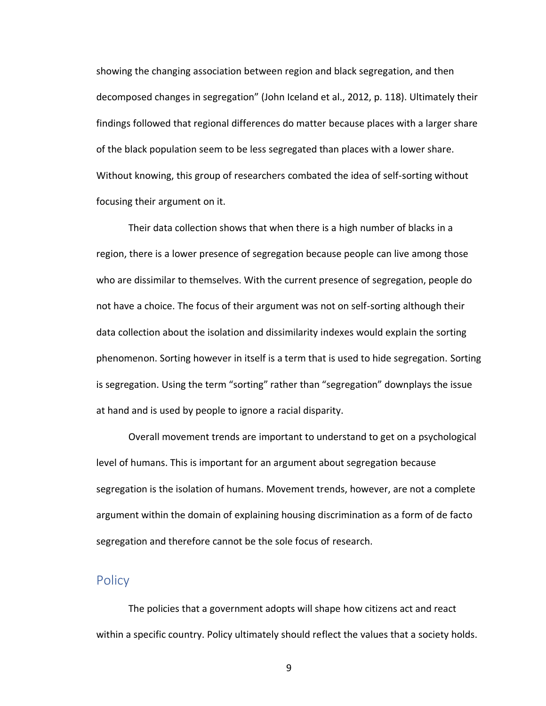showing the changing association between region and black segregation, and then decomposed changes in segregation" (John Iceland et al., 2012, p. 118). Ultimately their findings followed that regional differences do matter because places with a larger share of the black population seem to be less segregated than places with a lower share. Without knowing, this group of researchers combated the idea of self-sorting without focusing their argument on it.

Their data collection shows that when there is a high number of blacks in a region, there is a lower presence of segregation because people can live among those who are dissimilar to themselves. With the current presence of segregation, people do not have a choice. The focus of their argument was not on self-sorting although their data collection about the isolation and dissimilarity indexes would explain the sorting phenomenon. Sorting however in itself is a term that is used to hide segregation. Sorting is segregation. Using the term "sorting" rather than "segregation" downplays the issue at hand and is used by people to ignore a racial disparity.

Overall movement trends are important to understand to get on a psychological level of humans. This is important for an argument about segregation because segregation is the isolation of humans. Movement trends, however, are not a complete argument within the domain of explaining housing discrimination as a form of de facto segregation and therefore cannot be the sole focus of research.

#### <span id="page-10-0"></span>**Policy**

The policies that a government adopts will shape how citizens act and react within a specific country. Policy ultimately should reflect the values that a society holds.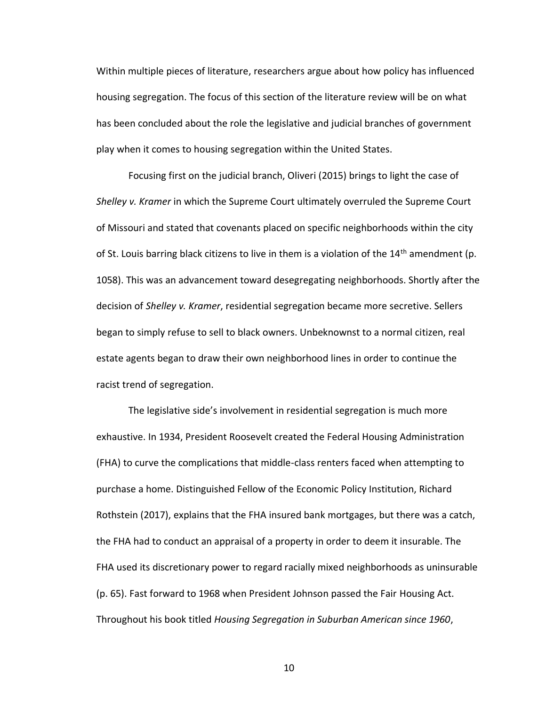Within multiple pieces of literature, researchers argue about how policy has influenced housing segregation. The focus of this section of the literature review will be on what has been concluded about the role the legislative and judicial branches of government play when it comes to housing segregation within the United States.

Focusing first on the judicial branch, Oliveri (2015) brings to light the case of *Shelley v. Kramer* in which the Supreme Court ultimately overruled the Supreme Court of Missouri and stated that covenants placed on specific neighborhoods within the city of St. Louis barring black citizens to live in them is a violation of the  $14<sup>th</sup>$  amendment (p. 1058). This was an advancement toward desegregating neighborhoods. Shortly after the decision of *Shelley v. Kramer*, residential segregation became more secretive. Sellers began to simply refuse to sell to black owners. Unbeknownst to a normal citizen, real estate agents began to draw their own neighborhood lines in order to continue the racist trend of segregation.

The legislative side's involvement in residential segregation is much more exhaustive. In 1934, President Roosevelt created the Federal Housing Administration (FHA) to curve the complications that middle-class renters faced when attempting to purchase a home. Distinguished Fellow of the Economic Policy Institution, Richard Rothstein (2017), explains that the FHA insured bank mortgages, but there was a catch, the FHA had to conduct an appraisal of a property in order to deem it insurable. The FHA used its discretionary power to regard racially mixed neighborhoods as uninsurable (p. 65). Fast forward to 1968 when President Johnson passed the Fair Housing Act. Throughout his book titled *Housing Segregation in Suburban American since 1960*,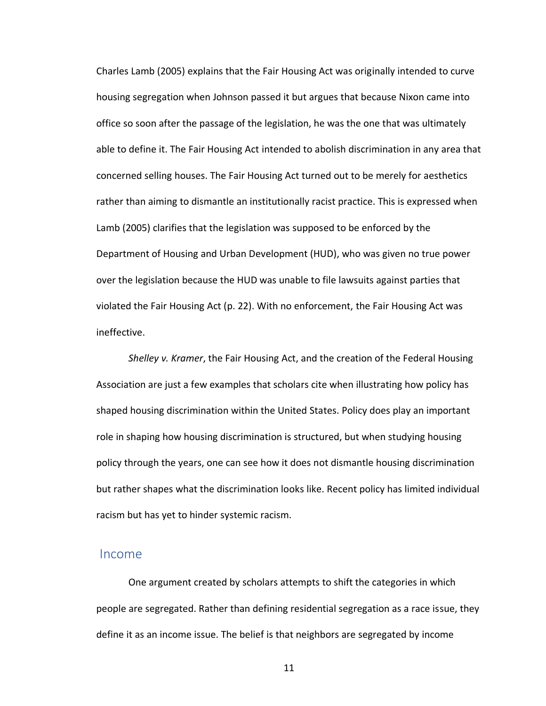Charles Lamb (2005) explains that the Fair Housing Act was originally intended to curve housing segregation when Johnson passed it but argues that because Nixon came into office so soon after the passage of the legislation, he was the one that was ultimately able to define it. The Fair Housing Act intended to abolish discrimination in any area that concerned selling houses. The Fair Housing Act turned out to be merely for aesthetics rather than aiming to dismantle an institutionally racist practice. This is expressed when Lamb (2005) clarifies that the legislation was supposed to be enforced by the Department of Housing and Urban Development (HUD), who was given no true power over the legislation because the HUD was unable to file lawsuits against parties that violated the Fair Housing Act (p. 22). With no enforcement, the Fair Housing Act was ineffective.

*Shelley v. Kramer*, the Fair Housing Act, and the creation of the Federal Housing Association are just a few examples that scholars cite when illustrating how policy has shaped housing discrimination within the United States. Policy does play an important role in shaping how housing discrimination is structured, but when studying housing policy through the years, one can see how it does not dismantle housing discrimination but rather shapes what the discrimination looks like. Recent policy has limited individual racism but has yet to hinder systemic racism.

#### <span id="page-12-0"></span>Income

One argument created by scholars attempts to shift the categories in which people are segregated. Rather than defining residential segregation as a race issue, they define it as an income issue. The belief is that neighbors are segregated by income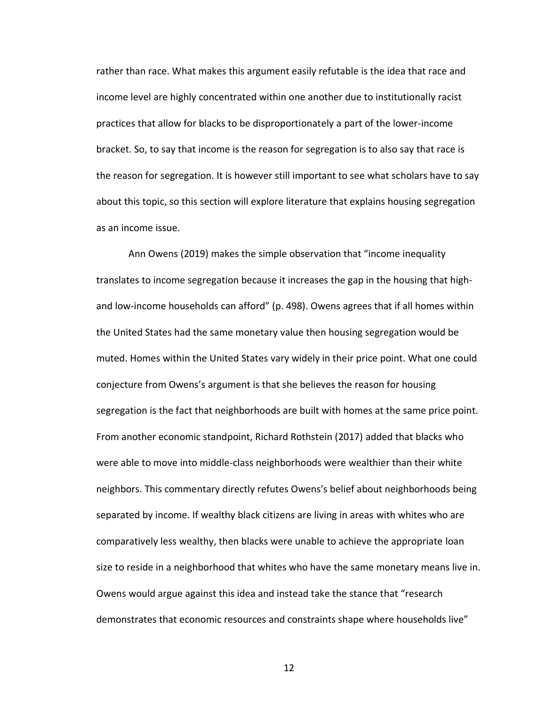rather than race. What makes this argument easily refutable is the idea that race and income level are highly concentrated within one another due to institutionally racist practices that allow for blacks to be disproportionately a part of the lower-income bracket. So, to say that income is the reason for segregation is to also say that race is the reason for segregation. It is however still important to see what scholars have to say about this topic, so this section will explore literature that explains housing segregation as an income issue.

Ann Owens (2019) makes the simple observation that "income inequality translates to income segregation because it increases the gap in the housing that highand low-income households can afford" (p. 498). Owens agrees that if all homes within the United States had the same monetary value then housing segregation would be muted. Homes within the United States vary widely in their price point. What one could conjecture from Owens's argument is that she believes the reason for housing segregation is the fact that neighborhoods are built with homes at the same price point. From another economic standpoint, Richard Rothstein (2017) added that blacks who were able to move into middle-class neighborhoods were wealthier than their white neighbors. This commentary directly refutes Owens's belief about neighborhoods being separated by income. If wealthy black citizens are living in areas with whites who are comparatively less wealthy, then blacks were unable to achieve the appropriate loan size to reside in a neighborhood that whites who have the same monetary means live in. Owens would argue against this idea and instead take the stance that "research demonstrates that economic resources and constraints shape where households live"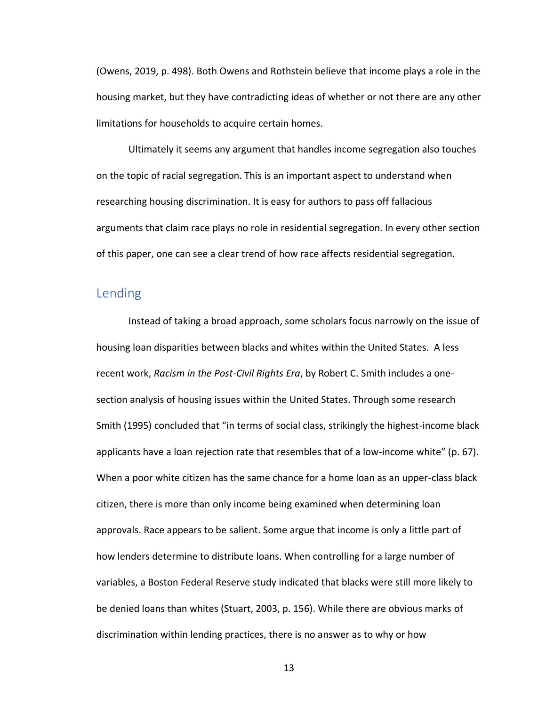(Owens, 2019, p. 498). Both Owens and Rothstein believe that income plays a role in the housing market, but they have contradicting ideas of whether or not there are any other limitations for households to acquire certain homes.

Ultimately it seems any argument that handles income segregation also touches on the topic of racial segregation. This is an important aspect to understand when researching housing discrimination. It is easy for authors to pass off fallacious arguments that claim race plays no role in residential segregation. In every other section of this paper, one can see a clear trend of how race affects residential segregation.

## <span id="page-14-0"></span>Lending

Instead of taking a broad approach, some scholars focus narrowly on the issue of housing loan disparities between blacks and whites within the United States. A less recent work, *Racism in the Post-Civil Rights Era*, by Robert C. Smith includes a onesection analysis of housing issues within the United States. Through some research Smith (1995) concluded that "in terms of social class, strikingly the highest-income black applicants have a loan rejection rate that resembles that of a low-income white" (p. 67). When a poor white citizen has the same chance for a home loan as an upper-class black citizen, there is more than only income being examined when determining loan approvals. Race appears to be salient. Some argue that income is only a little part of how lenders determine to distribute loans. When controlling for a large number of variables, a Boston Federal Reserve study indicated that blacks were still more likely to be denied loans than whites (Stuart, 2003, p. 156). While there are obvious marks of discrimination within lending practices, there is no answer as to why or how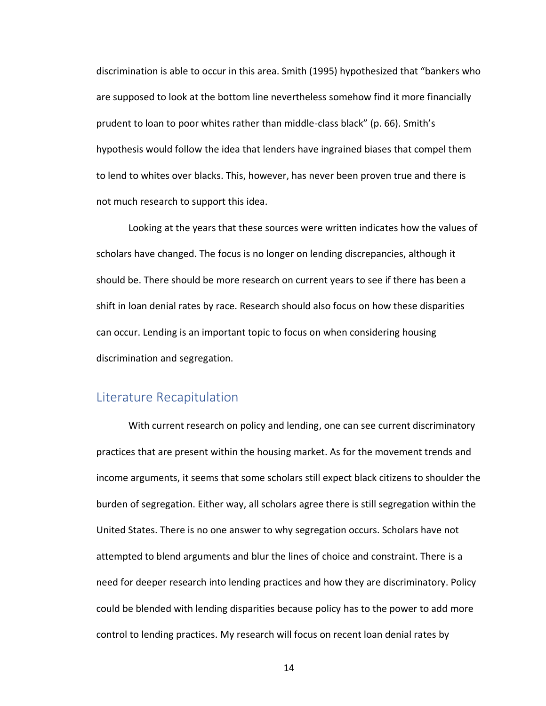discrimination is able to occur in this area. Smith (1995) hypothesized that "bankers who are supposed to look at the bottom line nevertheless somehow find it more financially prudent to loan to poor whites rather than middle-class black" (p. 66). Smith's hypothesis would follow the idea that lenders have ingrained biases that compel them to lend to whites over blacks. This, however, has never been proven true and there is not much research to support this idea.

Looking at the years that these sources were written indicates how the values of scholars have changed. The focus is no longer on lending discrepancies, although it should be. There should be more research on current years to see if there has been a shift in loan denial rates by race. Research should also focus on how these disparities can occur. Lending is an important topic to focus on when considering housing discrimination and segregation.

#### <span id="page-15-0"></span>Literature Recapitulation

With current research on policy and lending, one can see current discriminatory practices that are present within the housing market. As for the movement trends and income arguments, it seems that some scholars still expect black citizens to shoulder the burden of segregation. Either way, all scholars agree there is still segregation within the United States. There is no one answer to why segregation occurs. Scholars have not attempted to blend arguments and blur the lines of choice and constraint. There is a need for deeper research into lending practices and how they are discriminatory. Policy could be blended with lending disparities because policy has to the power to add more control to lending practices. My research will focus on recent loan denial rates by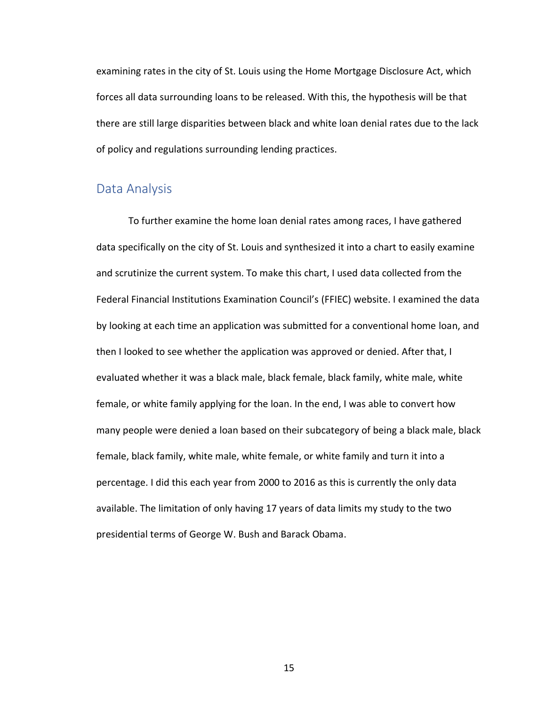examining rates in the city of St. Louis using the Home Mortgage Disclosure Act, which forces all data surrounding loans to be released. With this, the hypothesis will be that there are still large disparities between black and white loan denial rates due to the lack of policy and regulations surrounding lending practices.

## <span id="page-16-0"></span>Data Analysis

To further examine the home loan denial rates among races, I have gathered data specifically on the city of St. Louis and synthesized it into a chart to easily examine and scrutinize the current system. To make this chart, I used data collected from the Federal Financial Institutions Examination Council's (FFIEC) website. I examined the data by looking at each time an application was submitted for a conventional home loan, and then I looked to see whether the application was approved or denied. After that, I evaluated whether it was a black male, black female, black family, white male, white female, or white family applying for the loan. In the end, I was able to convert how many people were denied a loan based on their subcategory of being a black male, black female, black family, white male, white female, or white family and turn it into a percentage. I did this each year from 2000 to 2016 as this is currently the only data available. The limitation of only having 17 years of data limits my study to the two presidential terms of George W. Bush and Barack Obama.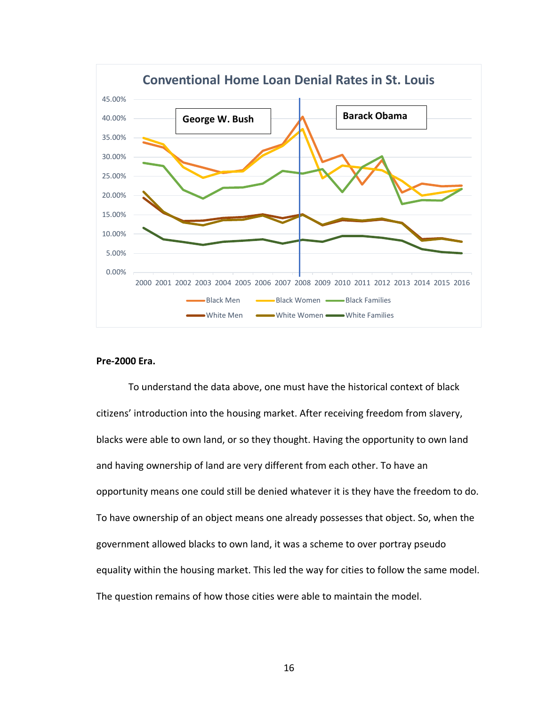

#### **Pre-2000 Era.**

To understand the data above, one must have the historical context of black citizens' introduction into the housing market. After receiving freedom from slavery, blacks were able to own land, or so they thought. Having the opportunity to own land and having ownership of land are very different from each other. To have an opportunity means one could still be denied whatever it is they have the freedom to do. To have ownership of an object means one already possesses that object. So, when the government allowed blacks to own land, it was a scheme to over portray pseudo equality within the housing market. This led the way for cities to follow the same model. The question remains of how those cities were able to maintain the model.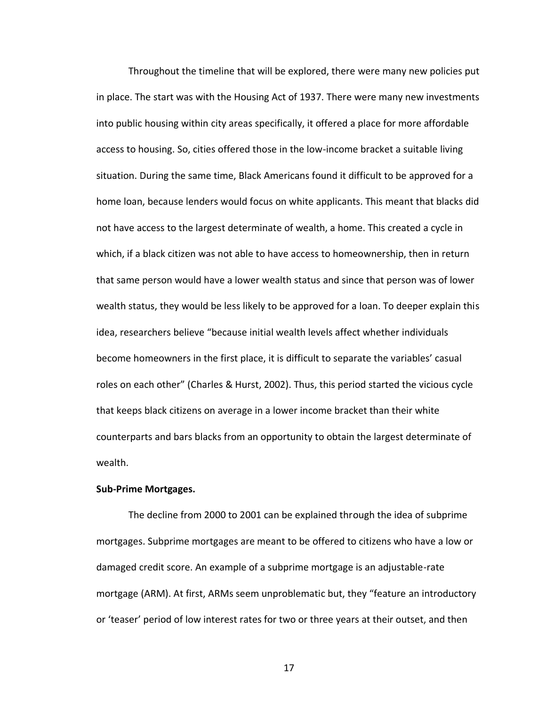Throughout the timeline that will be explored, there were many new policies put in place. The start was with the Housing Act of 1937. There were many new investments into public housing within city areas specifically, it offered a place for more affordable access to housing. So, cities offered those in the low-income bracket a suitable living situation. During the same time, Black Americans found it difficult to be approved for a home loan, because lenders would focus on white applicants. This meant that blacks did not have access to the largest determinate of wealth, a home. This created a cycle in which, if a black citizen was not able to have access to homeownership, then in return that same person would have a lower wealth status and since that person was of lower wealth status, they would be less likely to be approved for a loan. To deeper explain this idea, researchers believe "because initial wealth levels affect whether individuals become homeowners in the first place, it is difficult to separate the variables' casual roles on each other" (Charles & Hurst, 2002). Thus, this period started the vicious cycle that keeps black citizens on average in a lower income bracket than their white counterparts and bars blacks from an opportunity to obtain the largest determinate of wealth.

#### **Sub-Prime Mortgages.**

The decline from 2000 to 2001 can be explained through the idea of subprime mortgages. Subprime mortgages are meant to be offered to citizens who have a low or damaged credit score. An example of a subprime mortgage is an adjustable-rate mortgage (ARM). At first, ARMs seem unproblematic but, they "feature an introductory or 'teaser' period of low interest rates for two or three years at their outset, and then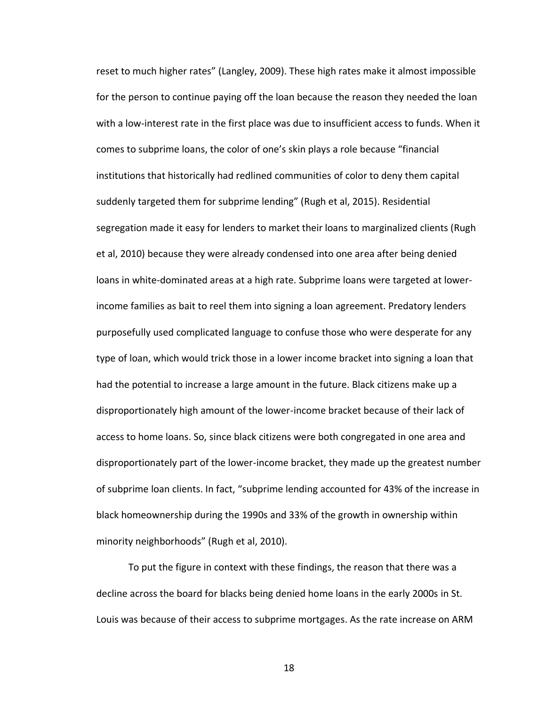reset to much higher rates" (Langley, 2009). These high rates make it almost impossible for the person to continue paying off the loan because the reason they needed the loan with a low-interest rate in the first place was due to insufficient access to funds. When it comes to subprime loans, the color of one's skin plays a role because "financial institutions that historically had redlined communities of color to deny them capital suddenly targeted them for subprime lending" (Rugh et al, 2015). Residential segregation made it easy for lenders to market their loans to marginalized clients (Rugh et al, 2010) because they were already condensed into one area after being denied loans in white-dominated areas at a high rate. Subprime loans were targeted at lowerincome families as bait to reel them into signing a loan agreement. Predatory lenders purposefully used complicated language to confuse those who were desperate for any type of loan, which would trick those in a lower income bracket into signing a loan that had the potential to increase a large amount in the future. Black citizens make up a disproportionately high amount of the lower-income bracket because of their lack of access to home loans. So, since black citizens were both congregated in one area and disproportionately part of the lower-income bracket, they made up the greatest number of subprime loan clients. In fact, "subprime lending accounted for 43% of the increase in black homeownership during the 1990s and 33% of the growth in ownership within minority neighborhoods" (Rugh et al, 2010).

To put the figure in context with these findings, the reason that there was a decline across the board for blacks being denied home loans in the early 2000s in St. Louis was because of their access to subprime mortgages. As the rate increase on ARM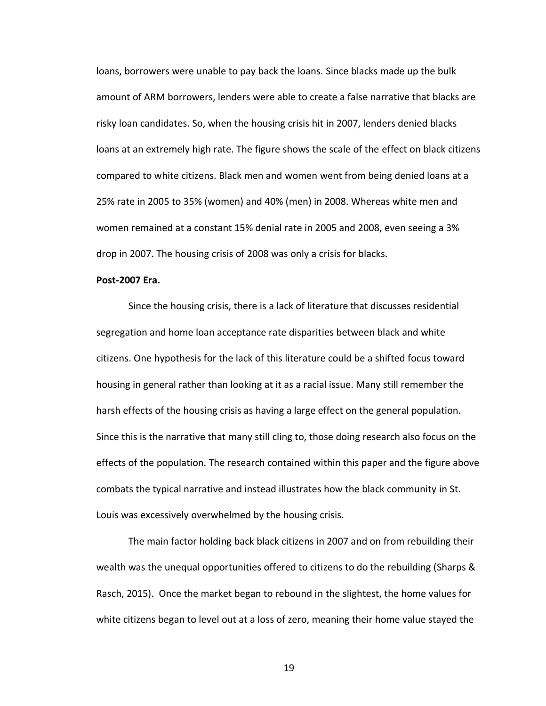loans, borrowers were unable to pay back the loans. Since blacks made up the bulk amount of ARM borrowers, lenders were able to create a false narrative that blacks are risky loan candidates. So, when the housing crisis hit in 2007, lenders denied blacks loans at an extremely high rate. The figure shows the scale of the effect on black citizens compared to white citizens. Black men and women went from being denied loans at a 25% rate in 2005 to 35% (women) and 40% (men) in 2008. Whereas white men and women remained at a constant 15% denial rate in 2005 and 2008, even seeing a 3% drop in 2007. The housing crisis of 2008 was only a crisis for blacks.

#### **Post-2007 Era.**

Since the housing crisis, there is a lack of literature that discusses residential segregation and home loan acceptance rate disparities between black and white citizens. One hypothesis for the lack of this literature could be a shifted focus toward housing in general rather than looking at it as a racial issue. Many still remember the harsh effects of the housing crisis as having a large effect on the general population. Since this is the narrative that many still cling to, those doing research also focus on the effects of the population. The research contained within this paper and the figure above combats the typical narrative and instead illustrates how the black community in St. Louis was excessively overwhelmed by the housing crisis.

The main factor holding back black citizens in 2007 and on from rebuilding their wealth was the unequal opportunities offered to citizens to do the rebuilding (Sharps & Rasch, 2015). Once the market began to rebound in the slightest, the home values for white citizens began to level out at a loss of zero, meaning their home value stayed the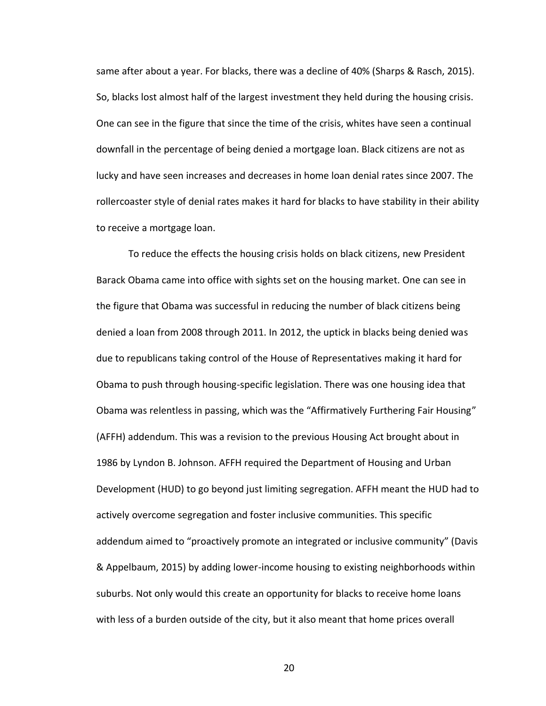same after about a year. For blacks, there was a decline of 40% (Sharps & Rasch, 2015). So, blacks lost almost half of the largest investment they held during the housing crisis. One can see in the figure that since the time of the crisis, whites have seen a continual downfall in the percentage of being denied a mortgage loan. Black citizens are not as lucky and have seen increases and decreases in home loan denial rates since 2007. The rollercoaster style of denial rates makes it hard for blacks to have stability in their ability to receive a mortgage loan.

To reduce the effects the housing crisis holds on black citizens, new President Barack Obama came into office with sights set on the housing market. One can see in the figure that Obama was successful in reducing the number of black citizens being denied a loan from 2008 through 2011. In 2012, the uptick in blacks being denied was due to republicans taking control of the House of Representatives making it hard for Obama to push through housing-specific legislation. There was one housing idea that Obama was relentless in passing, which was the "Affirmatively Furthering Fair Housing" (AFFH) addendum. This was a revision to the previous Housing Act brought about in 1986 by Lyndon B. Johnson. AFFH required the Department of Housing and Urban Development (HUD) to go beyond just limiting segregation. AFFH meant the HUD had to actively overcome segregation and foster inclusive communities. This specific addendum aimed to "proactively promote an integrated or inclusive community" (Davis & Appelbaum, 2015) by adding lower-income housing to existing neighborhoods within suburbs. Not only would this create an opportunity for blacks to receive home loans with less of a burden outside of the city, but it also meant that home prices overall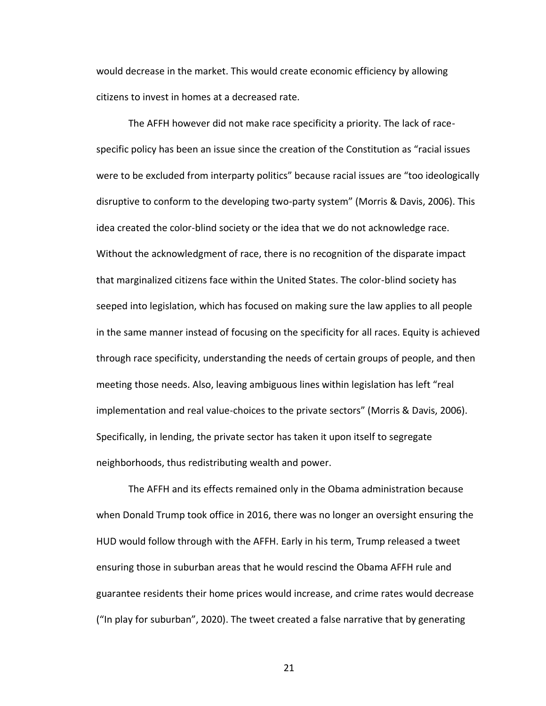would decrease in the market. This would create economic efficiency by allowing citizens to invest in homes at a decreased rate.

The AFFH however did not make race specificity a priority. The lack of racespecific policy has been an issue since the creation of the Constitution as "racial issues were to be excluded from interparty politics" because racial issues are "too ideologically disruptive to conform to the developing two-party system" (Morris & Davis, 2006). This idea created the color-blind society or the idea that we do not acknowledge race. Without the acknowledgment of race, there is no recognition of the disparate impact that marginalized citizens face within the United States. The color-blind society has seeped into legislation, which has focused on making sure the law applies to all people in the same manner instead of focusing on the specificity for all races. Equity is achieved through race specificity, understanding the needs of certain groups of people, and then meeting those needs. Also, leaving ambiguous lines within legislation has left "real implementation and real value-choices to the private sectors" (Morris & Davis, 2006). Specifically, in lending, the private sector has taken it upon itself to segregate neighborhoods, thus redistributing wealth and power.

The AFFH and its effects remained only in the Obama administration because when Donald Trump took office in 2016, there was no longer an oversight ensuring the HUD would follow through with the AFFH. Early in his term, Trump released a tweet ensuring those in suburban areas that he would rescind the Obama AFFH rule and guarantee residents their home prices would increase, and crime rates would decrease ("In play for suburban", 2020). The tweet created a false narrative that by generating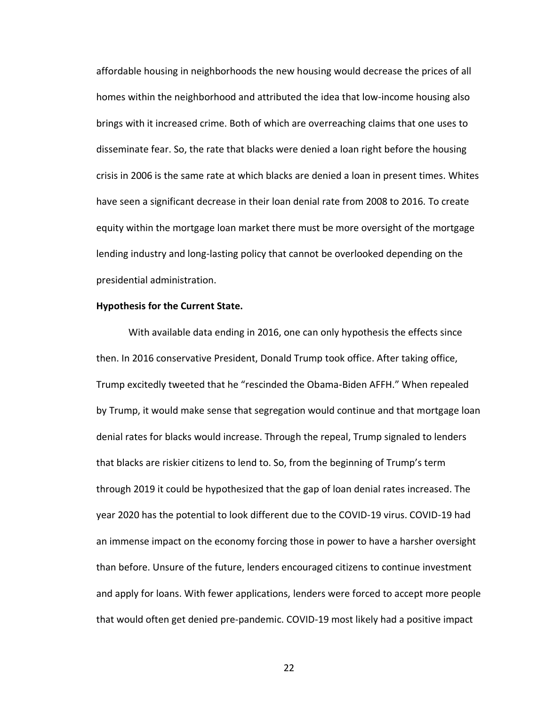affordable housing in neighborhoods the new housing would decrease the prices of all homes within the neighborhood and attributed the idea that low-income housing also brings with it increased crime. Both of which are overreaching claims that one uses to disseminate fear. So, the rate that blacks were denied a loan right before the housing crisis in 2006 is the same rate at which blacks are denied a loan in present times. Whites have seen a significant decrease in their loan denial rate from 2008 to 2016. To create equity within the mortgage loan market there must be more oversight of the mortgage lending industry and long-lasting policy that cannot be overlooked depending on the presidential administration.

#### **Hypothesis for the Current State.**

With available data ending in 2016, one can only hypothesis the effects since then. In 2016 conservative President, Donald Trump took office. After taking office, Trump excitedly tweeted that he "rescinded the Obama-Biden AFFH." When repealed by Trump, it would make sense that segregation would continue and that mortgage loan denial rates for blacks would increase. Through the repeal, Trump signaled to lenders that blacks are riskier citizens to lend to. So, from the beginning of Trump's term through 2019 it could be hypothesized that the gap of loan denial rates increased. The year 2020 has the potential to look different due to the COVID-19 virus. COVID-19 had an immense impact on the economy forcing those in power to have a harsher oversight than before. Unsure of the future, lenders encouraged citizens to continue investment and apply for loans. With fewer applications, lenders were forced to accept more people that would often get denied pre-pandemic. COVID-19 most likely had a positive impact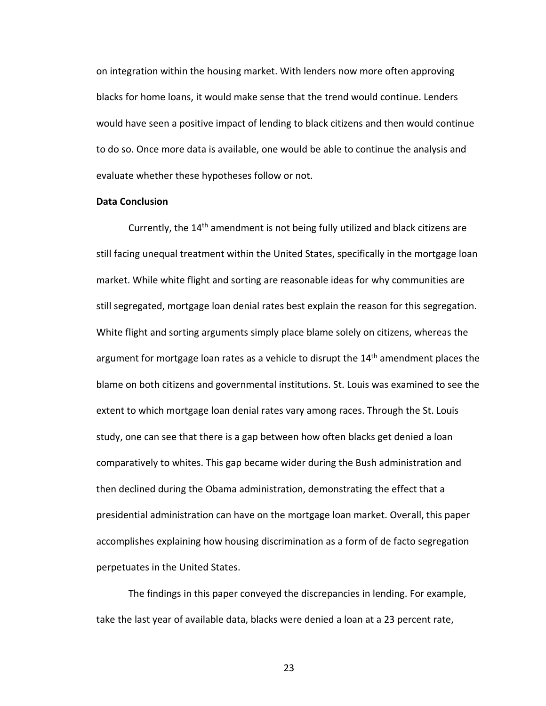on integration within the housing market. With lenders now more often approving blacks for home loans, it would make sense that the trend would continue. Lenders would have seen a positive impact of lending to black citizens and then would continue to do so. Once more data is available, one would be able to continue the analysis and evaluate whether these hypotheses follow or not.

#### **Data Conclusion**

Currently, the 14<sup>th</sup> amendment is not being fully utilized and black citizens are still facing unequal treatment within the United States, specifically in the mortgage loan market. While white flight and sorting are reasonable ideas for why communities are still segregated, mortgage loan denial rates best explain the reason for this segregation. White flight and sorting arguments simply place blame solely on citizens, whereas the argument for mortgage loan rates as a vehicle to disrupt the 14<sup>th</sup> amendment places the blame on both citizens and governmental institutions. St. Louis was examined to see the extent to which mortgage loan denial rates vary among races. Through the St. Louis study, one can see that there is a gap between how often blacks get denied a loan comparatively to whites. This gap became wider during the Bush administration and then declined during the Obama administration, demonstrating the effect that a presidential administration can have on the mortgage loan market. Overall, this paper accomplishes explaining how housing discrimination as a form of de facto segregation perpetuates in the United States.

The findings in this paper conveyed the discrepancies in lending. For example, take the last year of available data, blacks were denied a loan at a 23 percent rate,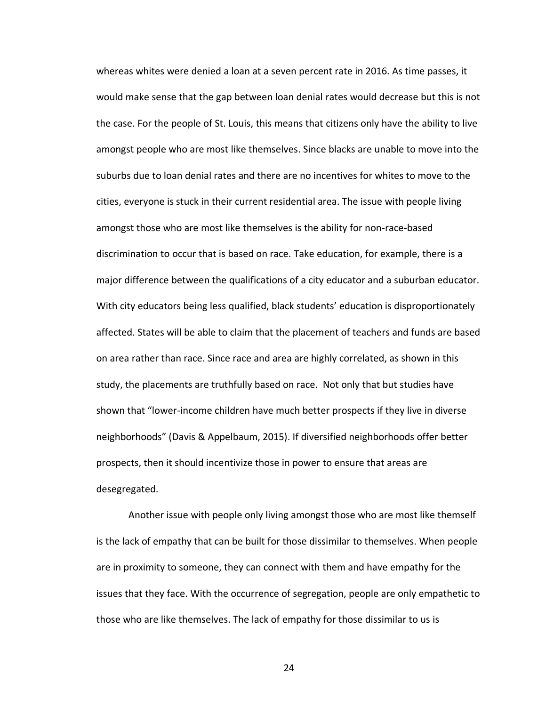whereas whites were denied a loan at a seven percent rate in 2016. As time passes, it would make sense that the gap between loan denial rates would decrease but this is not the case. For the people of St. Louis, this means that citizens only have the ability to live amongst people who are most like themselves. Since blacks are unable to move into the suburbs due to loan denial rates and there are no incentives for whites to move to the cities, everyone is stuck in their current residential area. The issue with people living amongst those who are most like themselves is the ability for non-race-based discrimination to occur that is based on race. Take education, for example, there is a major difference between the qualifications of a city educator and a suburban educator. With city educators being less qualified, black students' education is disproportionately affected. States will be able to claim that the placement of teachers and funds are based on area rather than race. Since race and area are highly correlated, as shown in this study, the placements are truthfully based on race. Not only that but studies have shown that "lower-income children have much better prospects if they live in diverse neighborhoods" (Davis & Appelbaum, 2015). If diversified neighborhoods offer better prospects, then it should incentivize those in power to ensure that areas are desegregated.

Another issue with people only living amongst those who are most like themself is the lack of empathy that can be built for those dissimilar to themselves. When people are in proximity to someone, they can connect with them and have empathy for the issues that they face. With the occurrence of segregation, people are only empathetic to those who are like themselves. The lack of empathy for those dissimilar to us is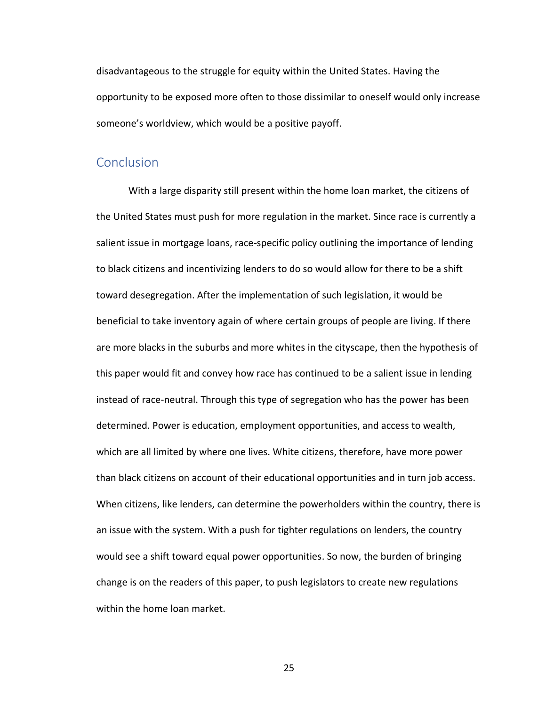disadvantageous to the struggle for equity within the United States. Having the opportunity to be exposed more often to those dissimilar to oneself would only increase someone's worldview, which would be a positive payoff.

## <span id="page-26-0"></span>**Conclusion**

With a large disparity still present within the home loan market, the citizens of the United States must push for more regulation in the market. Since race is currently a salient issue in mortgage loans, race-specific policy outlining the importance of lending to black citizens and incentivizing lenders to do so would allow for there to be a shift toward desegregation. After the implementation of such legislation, it would be beneficial to take inventory again of where certain groups of people are living. If there are more blacks in the suburbs and more whites in the cityscape, then the hypothesis of this paper would fit and convey how race has continued to be a salient issue in lending instead of race-neutral. Through this type of segregation who has the power has been determined. Power is education, employment opportunities, and access to wealth, which are all limited by where one lives. White citizens, therefore, have more power than black citizens on account of their educational opportunities and in turn job access. When citizens, like lenders, can determine the powerholders within the country, there is an issue with the system. With a push for tighter regulations on lenders, the country would see a shift toward equal power opportunities. So now, the burden of bringing change is on the readers of this paper, to push legislators to create new regulations within the home loan market.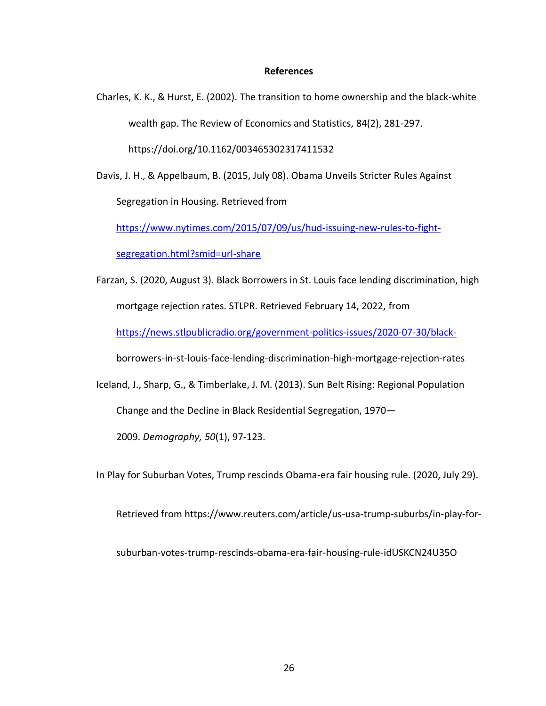#### **References**

Charles, K. K., & Hurst, E. (2002). The transition to home ownership and the black-white wealth gap. The Review of Economics and Statistics, 84(2), 281-297.

Davis, J. H., & Appelbaum, B. (2015, July 08). Obama Unveils Stricter Rules Against

https://doi.org/10.1162/003465302317411532

Segregation in Housing. Retrieved from

[https://www.nytimes.com/2015/07/09/us/hud-issuing-new-rules-to-fight-](https://www.nytimes.com/2015/07/09/us/hud-issuing-new-rules-to-fight-segregation.html?smid=url-share)

[segregation.html?smid=url-share](https://www.nytimes.com/2015/07/09/us/hud-issuing-new-rules-to-fight-segregation.html?smid=url-share)

Farzan, S. (2020, August 3). Black Borrowers in St. Louis face lending discrimination, high mortgage rejection rates. STLPR. Retrieved February 14, 2022, from <https://news.stlpublicradio.org/government-politics-issues/2020-07-30/black->

borrowers-in-st-louis-face-lending-discrimination-high-mortgage-rejection-rates

Iceland, J., Sharp, G., & Timberlake, J. M. (2013). Sun Belt Rising: Regional Population Change and the Decline in Black Residential Segregation, 1970—

2009. *Demography, 50*(1), 97-123.

In Play for Suburban Votes, Trump rescinds Obama-era fair housing rule. (2020, July 29).

Retrieved from https://www.reuters.com/article/us-usa-trump-suburbs/in-play-for-

suburban-votes-trump-rescinds-obama-era-fair-housing-rule-idUSKCN24U35O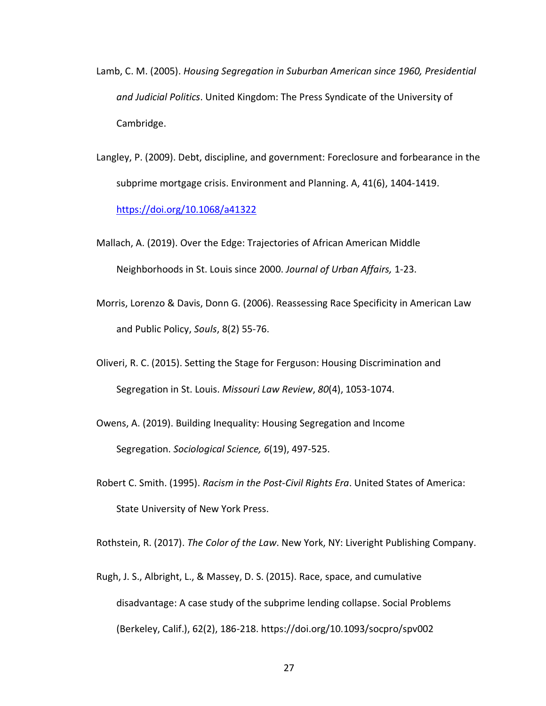- Lamb, C. M. (2005). *Housing Segregation in Suburban American since 1960, Presidential and Judicial Politics*. United Kingdom: The Press Syndicate of the University of Cambridge.
- Langley, P. (2009). Debt, discipline, and government: Foreclosure and forbearance in the subprime mortgage crisis. Environment and Planning. A, 41(6), 1404-1419. <https://doi.org/10.1068/a41322>
- Mallach, A. (2019). Over the Edge: Trajectories of African American Middle Neighborhoods in St. Louis since 2000. *Journal of Urban Affairs,* 1-23.
- Morris, Lorenzo & Davis, Donn G. (2006). Reassessing Race Specificity in American Law and Public Policy, *Souls*, 8(2) 55-76.
- Oliveri, R. C. (2015). Setting the Stage for Ferguson: Housing Discrimination and Segregation in St. Louis. *Missouri Law Review*, *80*(4), 1053-1074.
- Owens, A. (2019). Building Inequality: Housing Segregation and Income Segregation. *Sociological Science, 6*(19), 497-525.
- Robert C. Smith. (1995). *Racism in the Post-Civil Rights Era*. United States of America: State University of New York Press.

Rothstein, R. (2017). *The Color of the Law*. New York, NY: Liveright Publishing Company.

Rugh, J. S., Albright, L., & Massey, D. S. (2015). Race, space, and cumulative disadvantage: A case study of the subprime lending collapse. Social Problems (Berkeley, Calif.), 62(2), 186-218. https://doi.org/10.1093/socpro/spv002